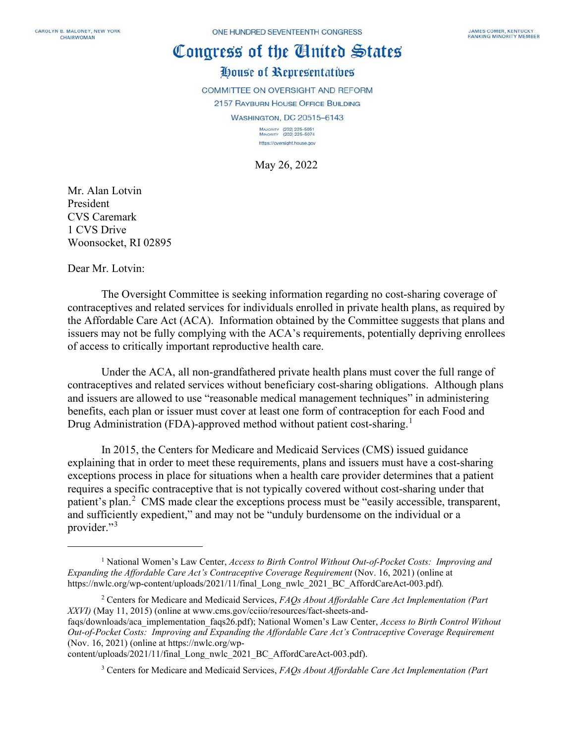## Congress of the Cinited States

## House of Representatives

COMMITTEE ON OVERSIGHT AND REFORM

2157 RAYBURN HOUSE OFFICE BUILDING WASHINGTON, DC 20515-6143

> MAJORITY (202) 225-5051<br>MINORITY (202) 225-5074 https://oversight.house.gov

May 26, 2022

Mr. Alan Lotvin President CVS Caremark 1 CVS Drive Woonsocket, RI 02895

Dear Mr. Lotvin:

The Oversight Committee is seeking information regarding no cost-sharing coverage of contraceptives and related services for individuals enrolled in private health plans, as required by the Affordable Care Act (ACA). Information obtained by the Committee suggests that plans and issuers may not be fully complying with the ACA's requirements, potentially depriving enrollees of access to critically important reproductive health care.

Under the ACA, all non-grandfathered private health plans must cover the full range of contraceptives and related services without beneficiary cost-sharing obligations. Although plans and issuers are allowed to use "reasonable medical management techniques" in administering benefits, each plan or issuer must cover at least one form of contraception for each Food and Drug Administration (FDA)-approved method without patient cost-sharing.<sup>[1](#page-0-0)</sup>

In 2015, the Centers for Medicare and Medicaid Services (CMS) issued guidance explaining that in order to meet these requirements, plans and issuers must have a cost-sharing exceptions process in place for situations when a health care provider determines that a patient requires a specific contraceptive that is not typically covered without cost-sharing under that patient's plan.<sup>[2](#page-0-1)</sup> CMS made clear the exceptions process must be "easily accessible, transparent, and sufficiently expedient," and may not be "unduly burdensome on the individual or a provider."<sup>[3](#page-0-2)</sup>

<span id="page-0-1"></span><sup>2</sup> Centers for Medicare and Medicaid Services, *FAQs About Affordable Care Act Implementation (Part XXVI)* (May 11, 2015) (online at www.cms.gov/cciio/resources/fact-sheets-and-

faqs/downloads/aca\_implementation\_faqs26.pdf); National Women's Law Center, *Access to Birth Control Without Out-of-Pocket Costs: Improving and Expanding the Affordable Care Act's Contraceptive Coverage Requirement* (Nov. 16, 2021) (online at https://nwlc.org/wp-

<span id="page-0-2"></span>content/uploads/2021/11/final\_Long\_nwlc\_2021\_BC\_AffordCareAct-003.pdf).

<sup>3</sup> Centers for Medicare and Medicaid Services, *FAQs About Affordable Care Act Implementation (Part* 

<span id="page-0-0"></span><sup>1</sup> National Women's Law Center, *Access to Birth Control Without Out-of-Pocket Costs: Improving and Expanding the Affordable Care Act's Contraceptive Coverage Requirement* (Nov. 16, 2021) (online at https://nwlc.org/wp-content/uploads/2021/11/final\_Long\_nwlc\_2021\_BC\_AffordCareAct-003.pdf)*.*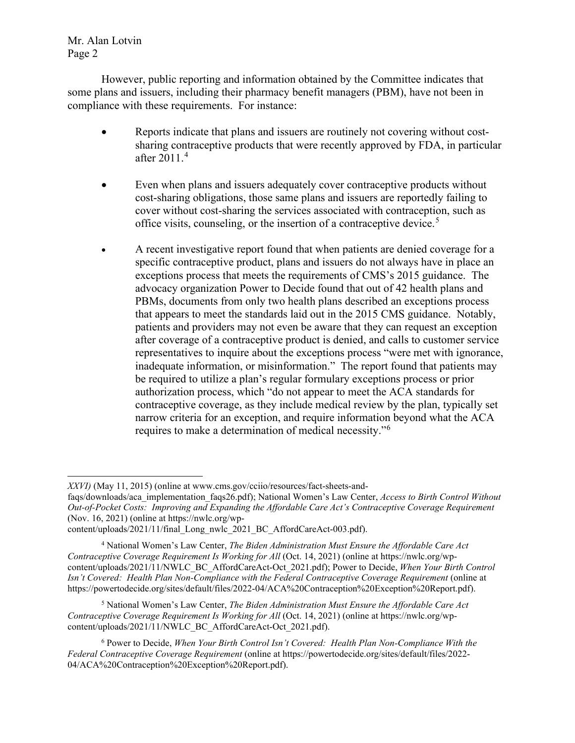Mr. Alan Lotvin Page 2

However, public reporting and information obtained by the Committee indicates that some plans and issuers, including their pharmacy benefit managers (PBM), have not been in compliance with these requirements. For instance:

- Reports indicate that plans and issuers are routinely not covering without costsharing contraceptive products that were recently approved by FDA, in particular after 2011.[4](#page-1-0)
- Even when plans and issuers adequately cover contraceptive products without cost-sharing obligations, those same plans and issuers are reportedly failing to cover without cost-sharing the services associated with contraception, such as office visits, counseling, or the insertion of a contraceptive device.<sup>[5](#page-1-1)</sup>
- A recent investigative report found that when patients are denied coverage for a specific contraceptive product, plans and issuers do not always have in place an exceptions process that meets the requirements of CMS's 2015 guidance. The advocacy organization Power to Decide found that out of 42 health plans and PBMs, documents from only two health plans described an exceptions process that appears to meet the standards laid out in the 2015 CMS guidance. Notably, patients and providers may not even be aware that they can request an exception after coverage of a contraceptive product is denied, and calls to customer service representatives to inquire about the exceptions process "were met with ignorance, inadequate information, or misinformation." The report found that patients may be required to utilize a plan's regular formulary exceptions process or prior authorization process, which "do not appear to meet the ACA standards for contraceptive coverage, as they include medical review by the plan, typically set narrow criteria for an exception, and require information beyond what the ACA requires to make a determination of medical necessity."[6](#page-1-2)

<span id="page-1-1"></span><sup>5</sup> National Women's Law Center, *The Biden Administration Must Ensure the Affordable Care Act Contraceptive Coverage Requirement Is Working for All* (Oct. 14, 2021) (online at https://nwlc.org/wpcontent/uploads/2021/11/NWLC\_BC\_AffordCareAct-Oct\_2021.pdf).

*XXVI)* (May 11, 2015) (online at www.cms.gov/cciio/resources/fact-sheets-and-

faqs/downloads/aca\_implementation\_faqs26.pdf); National Women's Law Center, *Access to Birth Control Without Out-of-Pocket Costs: Improving and Expanding the Affordable Care Act's Contraceptive Coverage Requirement* (Nov. 16, 2021) (online at https://nwlc.org/wp-

content/uploads/2021/11/final\_Long\_nwlc\_2021\_BC\_AffordCareAct-003.pdf).

<span id="page-1-0"></span><sup>4</sup> National Women's Law Center, *The Biden Administration Must Ensure the Affordable Care Act Contraceptive Coverage Requirement Is Working for All* (Oct. 14, 2021) (online at https://nwlc.org/wpcontent/uploads/2021/11/NWLC\_BC\_AffordCareAct-Oct\_2021.pdf); Power to Decide, *When Your Birth Control Isn't Covered: Health Plan Non-Compliance with the Federal Contraceptive Coverage Requirement* (online at https://powertodecide.org/sites/default/files/2022-04/ACA%20Contraception%20Exception%20Report.pdf).

<span id="page-1-2"></span><sup>6</sup> Power to Decide, *When Your Birth Control Isn't Covered: Health Plan Non-Compliance With the Federal Contraceptive Coverage Requirement* (online at https://powertodecide.org/sites/default/files/2022- 04/ACA%20Contraception%20Exception%20Report.pdf).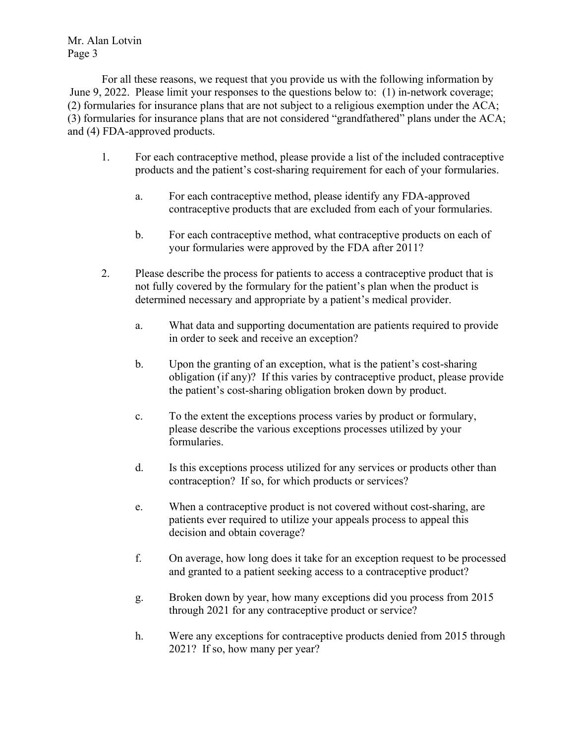Mr. Alan Lotvin Page 3

For all these reasons, we request that you provide us with the following information by June 9, 2022. Please limit your responses to the questions below to: (1) in-network coverage; (2) formularies for insurance plans that are not subject to a religious exemption under the ACA; (3) formularies for insurance plans that are not considered "grandfathered" plans under the ACA; and (4) FDA-approved products.

- 1. For each contraceptive method, please provide a list of the included contraceptive products and the patient's cost-sharing requirement for each of your formularies.
	- a. For each contraceptive method, please identify any FDA-approved contraceptive products that are excluded from each of your formularies.
	- b. For each contraceptive method, what contraceptive products on each of your formularies were approved by the FDA after 2011?
- 2. Please describe the process for patients to access a contraceptive product that is not fully covered by the formulary for the patient's plan when the product is determined necessary and appropriate by a patient's medical provider.
	- a. What data and supporting documentation are patients required to provide in order to seek and receive an exception?
	- b. Upon the granting of an exception, what is the patient's cost-sharing obligation (if any)? If this varies by contraceptive product, please provide the patient's cost-sharing obligation broken down by product.
	- c. To the extent the exceptions process varies by product or formulary, please describe the various exceptions processes utilized by your formularies.
	- d. Is this exceptions process utilized for any services or products other than contraception? If so, for which products or services?
	- e. When a contraceptive product is not covered without cost-sharing, are patients ever required to utilize your appeals process to appeal this decision and obtain coverage?
	- f. On average, how long does it take for an exception request to be processed and granted to a patient seeking access to a contraceptive product?
	- g. Broken down by year, how many exceptions did you process from 2015 through 2021 for any contraceptive product or service?
	- h. Were any exceptions for contraceptive products denied from 2015 through 2021? If so, how many per year?